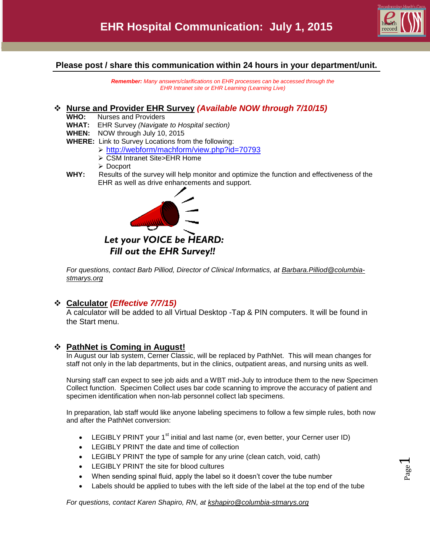

Page  $\overline{\phantom{0}}$ 

### **Please post / share this communication within 24 hours in your department/unit.**

*Remember: Many answers/clarifications on EHR processes can be accessed through the EHR Intranet site or EHR Learning (Learning Live)*

#### **Nurse and Provider EHR Survey** *(Available NOW through 7/10/15)*

- **WHO:** Nurses and Providers
- **WHAT:** EHR Survey *(Navigate to Hospital section)*
- **WHEN:** NOW through July 10, 2015
- **WHERE:** Link to Survey Locations from the following:
	- <http://webform/machform/view.php?id=70793>
	- CSM Intranet Site>EHR Home
	- Docport
- **WHY:** Results of the survey will help monitor and optimize the function and effectiveness of the EHR as well as drive enhancements and support.



# *Let your VOICE be HEARD: Fill out the EHR Survey!!*

*For questions, contact Barb Pilliod, Director of Clinical Informatics, at [Barbara.Pilliod@columbia](mailto:Barbara.Pilliod@columbia-stmarys.org)[stmarys.org](mailto:Barbara.Pilliod@columbia-stmarys.org)*

# **Calculator** *(Effective 7/7/15)*

A calculator will be added to all Virtual Desktop -Tap & PIN computers. It will be found in the Start menu.

#### **PathNet is Coming in August!**

In August our lab system, Cerner Classic, will be replaced by PathNet. This will mean changes for staff not only in the lab departments, but in the clinics, outpatient areas, and nursing units as well.

Nursing staff can expect to see job aids and a WBT mid-July to introduce them to the new Specimen Collect function. Specimen Collect uses bar code scanning to improve the accuracy of patient and specimen identification when non-lab personnel collect lab specimens.

In preparation, lab staff would like anyone labeling specimens to follow a few simple rules, both now and after the PathNet conversion:

- **•** LEGIBLY PRINT your 1<sup>st</sup> initial and last name (or, even better, your Cerner user ID)
- LEGIBLY PRINT the date and time of collection
- LEGIBLY PRINT the type of sample for any urine (clean catch, void, cath)
- LEGIBLY PRINT the site for blood cultures
- When sending spinal fluid, apply the label so it doesn't cover the tube number
- Labels should be applied to tubes with the left side of the label at the top end of the tube

*For questions, contact Karen Shapiro, RN, at kshapiro@columbia-stmarys.org*